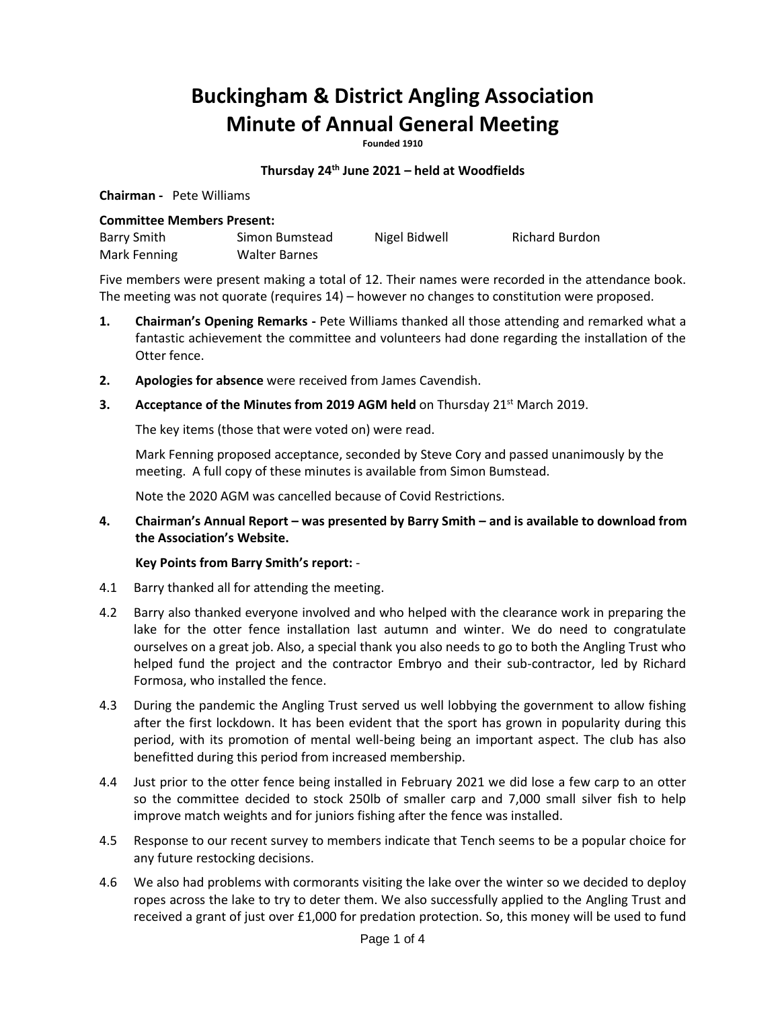# **Buckingham & District Angling Association Minute of Annual General Meeting**

**Founded 1910**

### **Thursday 24th June 2021 – held at Woodfields**

**Chairman -** Pete Williams

#### **Committee Members Present:**

| Barry Smith  | Simon Bumstead | Nigel Bidwell | Richard Burdon |
|--------------|----------------|---------------|----------------|
| Mark Fenning | Walter Barnes  |               |                |

Five members were present making a total of 12. Their names were recorded in the attendance book. The meeting was not quorate (requires 14) – however no changes to constitution were proposed.

- **1. Chairman's Opening Remarks -** Pete Williams thanked all those attending and remarked what a fantastic achievement the committee and volunteers had done regarding the installation of the Otter fence.
- **2. Apologies for absence** were received from James Cavendish.
- **3. Acceptance of the Minutes from 2019 AGM held** on Thursday 21<sup>st</sup> March 2019.

The key items (those that were voted on) were read.

Mark Fenning proposed acceptance, seconded by Steve Cory and passed unanimously by the meeting. A full copy of these minutes is available from Simon Bumstead.

Note the 2020 AGM was cancelled because of Covid Restrictions.

**4. Chairman's Annual Report – was presented by Barry Smith – and is available to download from the Association's Website.** 

#### **Key Points from Barry Smith's report:** -

- 4.1 Barry thanked all for attending the meeting.
- 4.2 Barry also thanked everyone involved and who helped with the clearance work in preparing the lake for the otter fence installation last autumn and winter. We do need to congratulate ourselves on a great job. Also, a special thank you also needs to go to both the Angling Trust who helped fund the project and the contractor Embryo and their sub-contractor, led by Richard Formosa, who installed the fence.
- 4.3 During the pandemic the Angling Trust served us well lobbying the government to allow fishing after the first lockdown. It has been evident that the sport has grown in popularity during this period, with its promotion of mental well-being being an important aspect. The club has also benefitted during this period from increased membership.
- 4.4 Just prior to the otter fence being installed in February 2021 we did lose a few carp to an otter so the committee decided to stock 250lb of smaller carp and 7,000 small silver fish to help improve match weights and for juniors fishing after the fence was installed.
- 4.5 Response to our recent survey to members indicate that Tench seems to be a popular choice for any future restocking decisions.
- 4.6 We also had problems with cormorants visiting the lake over the winter so we decided to deploy ropes across the lake to try to deter them. We also successfully applied to the Angling Trust and received a grant of just over £1,000 for predation protection. So, this money will be used to fund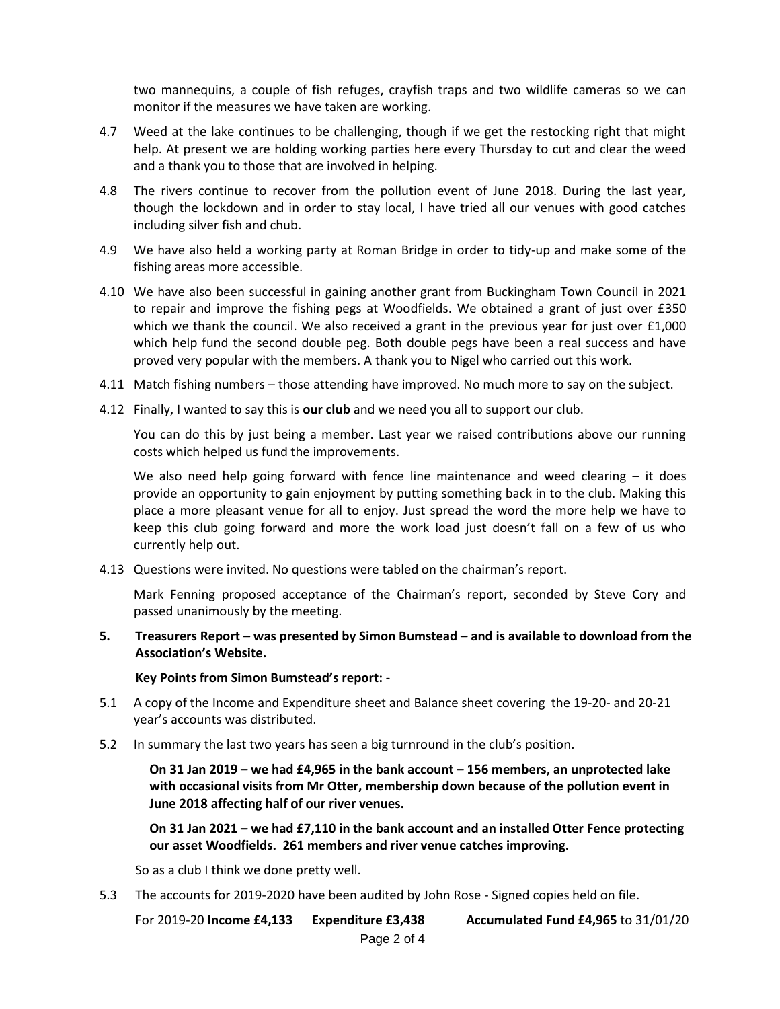two mannequins, a couple of fish refuges, crayfish traps and two wildlife cameras so we can monitor if the measures we have taken are working.

- 4.7 Weed at the lake continues to be challenging, though if we get the restocking right that might help. At present we are holding working parties here every Thursday to cut and clear the weed and a thank you to those that are involved in helping.
- 4.8 The rivers continue to recover from the pollution event of June 2018. During the last year, though the lockdown and in order to stay local, I have tried all our venues with good catches including silver fish and chub.
- 4.9 We have also held a working party at Roman Bridge in order to tidy-up and make some of the fishing areas more accessible.
- 4.10 We have also been successful in gaining another grant from Buckingham Town Council in 2021 to repair and improve the fishing pegs at Woodfields. We obtained a grant of just over £350 which we thank the council. We also received a grant in the previous year for just over £1,000 which help fund the second double peg. Both double pegs have been a real success and have proved very popular with the members. A thank you to Nigel who carried out this work.
- 4.11 Match fishing numbers those attending have improved. No much more to say on the subject.
- 4.12 Finally, I wanted to say this is **our club** and we need you all to support our club.

You can do this by just being a member. Last year we raised contributions above our running costs which helped us fund the improvements.

We also need help going forward with fence line maintenance and weed clearing  $-$  it does provide an opportunity to gain enjoyment by putting something back in to the club. Making this place a more pleasant venue for all to enjoy. Just spread the word the more help we have to keep this club going forward and more the work load just doesn't fall on a few of us who currently help out.

4.13 Questions were invited. No questions were tabled on the chairman's report.

Mark Fenning proposed acceptance of the Chairman's report, seconded by Steve Cory and passed unanimously by the meeting.

**5. Treasurers Report – was presented by Simon Bumstead – and is available to download from the Association's Website.** 

**Key Points from Simon Bumstead's report: -**

- 5.1 A copy of the Income and Expenditure sheet and Balance sheet covering the 19-20- and 20-21 year's accounts was distributed.
- 5.2 In summary the last two years has seen a big turnround in the club's position.

**On 31 Jan 2019 – we had £4,965 in the bank account – 156 members, an unprotected lake with occasional visits from Mr Otter, membership down because of the pollution event in June 2018 affecting half of our river venues.**

**On 31 Jan 2021 – we had £7,110 in the bank account and an installed Otter Fence protecting our asset Woodfields. 261 members and river venue catches improving.** 

So as a club I think we done pretty well.

5.3 The accounts for 2019-2020 have been audited by John Rose - Signed copies held on file.

For 2019-20 **Income £4,133 Expenditure £3,438 Accumulated Fund £4,965** to 31/01/20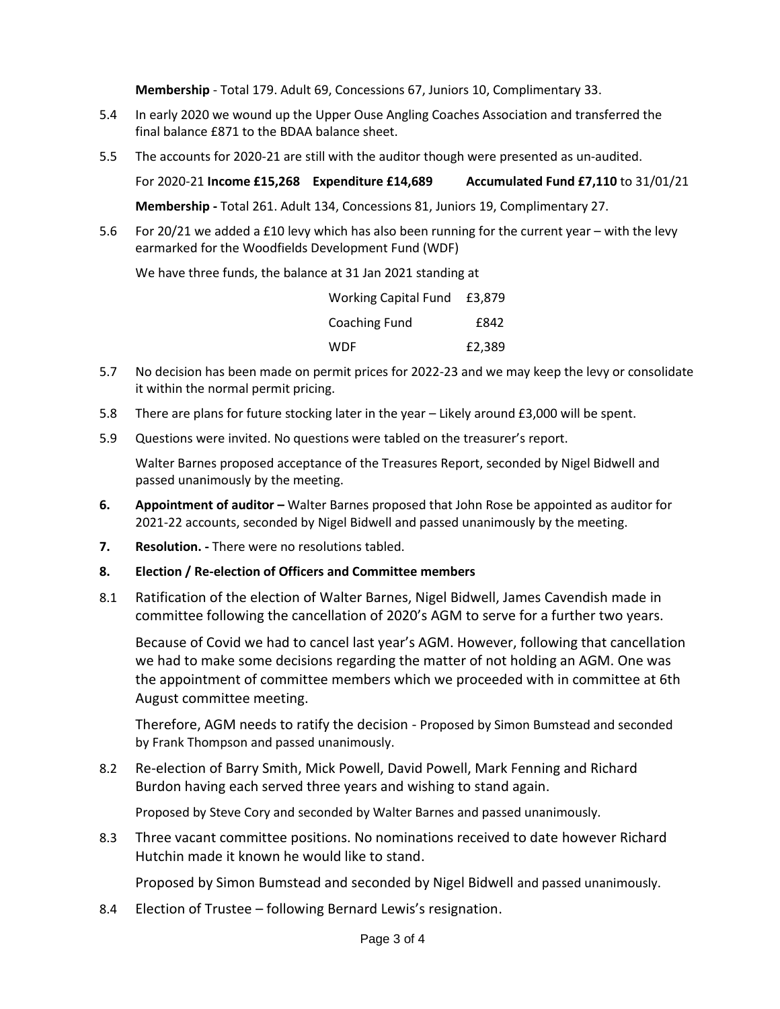**Membership** - Total 179. Adult 69, Concessions 67, Juniors 10, Complimentary 33.

- 5.4 In early 2020 we wound up the Upper Ouse Angling Coaches Association and transferred the final balance £871 to the BDAA balance sheet.
- 5.5 The accounts for 2020-21 are still with the auditor though were presented as un-audited.

For 2020-21 **Income £15,268 Expenditure £14,689 Accumulated Fund £7,110** to 31/01/21

**Membership -** Total 261. Adult 134, Concessions 81, Juniors 19, Complimentary 27.

5.6 For 20/21 we added a £10 levy which has also been running for the current year – with the levy earmarked for the Woodfields Development Fund (WDF)

We have three funds, the balance at 31 Jan 2021 standing at

| Working Capital Fund £3,879 |        |
|-----------------------------|--------|
| <b>Coaching Fund</b>        | f842   |
| WDF                         | £2,389 |

- 5.7 No decision has been made on permit prices for 2022-23 and we may keep the levy or consolidate it within the normal permit pricing.
- 5.8 There are plans for future stocking later in the year Likely around £3,000 will be spent.
- 5.9 Questions were invited. No questions were tabled on the treasurer's report.

Walter Barnes proposed acceptance of the Treasures Report, seconded by Nigel Bidwell and passed unanimously by the meeting.

- **6. Appointment of auditor** Walter Barnes proposed that John Rose be appointed as auditor for 2021-22 accounts, seconded by Nigel Bidwell and passed unanimously by the meeting.
- **7. Resolution. -** There were no resolutions tabled.
- **8. Election / Re-election of Officers and Committee members**
- 8.1 Ratification of the election of Walter Barnes, Nigel Bidwell, James Cavendish made in committee following the cancellation of 2020's AGM to serve for a further two years.

Because of Covid we had to cancel last year's AGM. However, following that cancellation we had to make some decisions regarding the matter of not holding an AGM. One was the appointment of committee members which we proceeded with in committee at 6th August committee meeting.

Therefore, AGM needs to ratify the decision - Proposed by Simon Bumstead and seconded by Frank Thompson and passed unanimously.

8.2 Re-election of Barry Smith, Mick Powell, David Powell, Mark Fenning and Richard Burdon having each served three years and wishing to stand again.

Proposed by Steve Cory and seconded by Walter Barnes and passed unanimously.

8.3 Three vacant committee positions. No nominations received to date however Richard Hutchin made it known he would like to stand.

Proposed by Simon Bumstead and seconded by Nigel Bidwell and passed unanimously.

8.4 Election of Trustee – following Bernard Lewis's resignation.